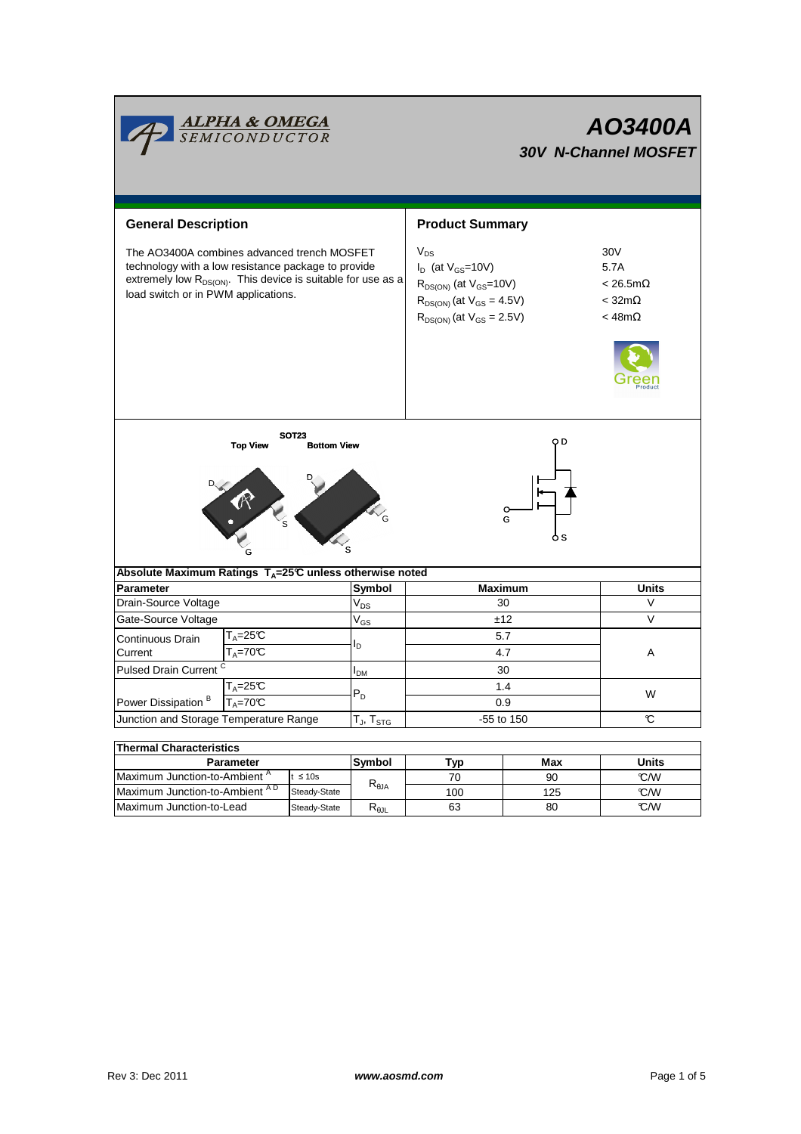|                                                                                                                                                                                                                | <mark>ALPHA &amp; OMEGA</mark><br>SEMICONDUCTOR |              |                                  | AO3400A<br><b>30V N-Channel MOSFET</b>                                                                                                              |                                                                         |              |  |  |  |
|----------------------------------------------------------------------------------------------------------------------------------------------------------------------------------------------------------------|-------------------------------------------------|--------------|----------------------------------|-----------------------------------------------------------------------------------------------------------------------------------------------------|-------------------------------------------------------------------------|--------------|--|--|--|
| <b>General Description</b>                                                                                                                                                                                     |                                                 |              |                                  | <b>Product Summary</b>                                                                                                                              |                                                                         |              |  |  |  |
| The AO3400A combines advanced trench MOSFET<br>technology with a low resistance package to provide<br>extremely low $R_{DS(ON)}$ . This device is suitable for use as a<br>load switch or in PWM applications. |                                                 |              |                                  | $V_{DS}$<br>$I_D$ (at $V_{GS}$ =10V)<br>$R_{DS(ON)}$ (at $V_{GS}$ =10V)<br>$R_{DS(ON)}$ (at $V_{GS} = 4.5V$ )<br>$R_{DS(ON)}$ (at $V_{GS} = 2.5V$ ) | 30V<br>5.7A<br>$< 26.5 m\Omega$<br>$<$ 32m $\Omega$<br>$<$ 48m $\Omega$ |              |  |  |  |
| <b>SOT23</b><br>o D<br><b>Top View</b><br><b>Bottom View</b><br>G<br>o s                                                                                                                                       |                                                 |              |                                  |                                                                                                                                                     |                                                                         |              |  |  |  |
| Absolute Maximum Ratings T <sub>A</sub> =25℃ unless otherwise noted                                                                                                                                            |                                                 |              |                                  |                                                                                                                                                     |                                                                         |              |  |  |  |
| <b>Parameter</b>                                                                                                                                                                                               |                                                 |              | Symbol                           | <b>Maximum</b>                                                                                                                                      |                                                                         | <b>Units</b> |  |  |  |
| Drain-Source Voltage                                                                                                                                                                                           |                                                 |              | $V_{DS}$                         | 30                                                                                                                                                  |                                                                         | $\vee$       |  |  |  |
| Gate-Source Voltage                                                                                                                                                                                            |                                                 |              | $V_{GS}$                         | ±12                                                                                                                                                 |                                                                         | V            |  |  |  |
| Continuous Drain<br>Current                                                                                                                                                                                    | T <sub>A</sub> =25℃<br>$T_A = 70C$              |              | I <sub>D</sub>                   | 5.7<br>4.7                                                                                                                                          |                                                                         | A            |  |  |  |
| Pulsed Drain Current <sup>C</sup>                                                                                                                                                                              |                                                 |              | I <sub>DM</sub>                  | 30                                                                                                                                                  |                                                                         |              |  |  |  |
| $T_A = 25C$                                                                                                                                                                                                    |                                                 |              | $P_D$                            | 1.4                                                                                                                                                 |                                                                         | W            |  |  |  |
| Power Dissipation <sup>B</sup><br>$T_A = 70C$                                                                                                                                                                  |                                                 |              |                                  | 0.9                                                                                                                                                 |                                                                         |              |  |  |  |
| Junction and Storage Temperature Range                                                                                                                                                                         |                                                 |              | $T_J$ , $T_{STG}$                | -55 to 150                                                                                                                                          |                                                                         | C            |  |  |  |
|                                                                                                                                                                                                                |                                                 |              |                                  |                                                                                                                                                     |                                                                         |              |  |  |  |
| <b>Thermal Characteristics</b>                                                                                                                                                                                 |                                                 |              |                                  |                                                                                                                                                     |                                                                         | <b>Units</b> |  |  |  |
| <b>Parameter</b><br>Maximum Junction-to-Ambient <sup>A</sup><br>$t \leq 10s$                                                                                                                                   |                                                 | Symbol       | Typ<br>70                        | Max<br>90                                                                                                                                           | °C/W                                                                    |              |  |  |  |
| Maximum Junction-to-Ambient AD                                                                                                                                                                                 |                                                 | Steady-State | $\mathsf{R}_{\theta\mathsf{JA}}$ | 100                                                                                                                                                 | 125                                                                     | °C/W         |  |  |  |

Steady-State R<sub>θJL</sub>

Maximum Junction-to-Lead Steady-State R<sub>6JL</sub> 63 80 62/W

63

125 80

 $\overline{\phantom{0}}$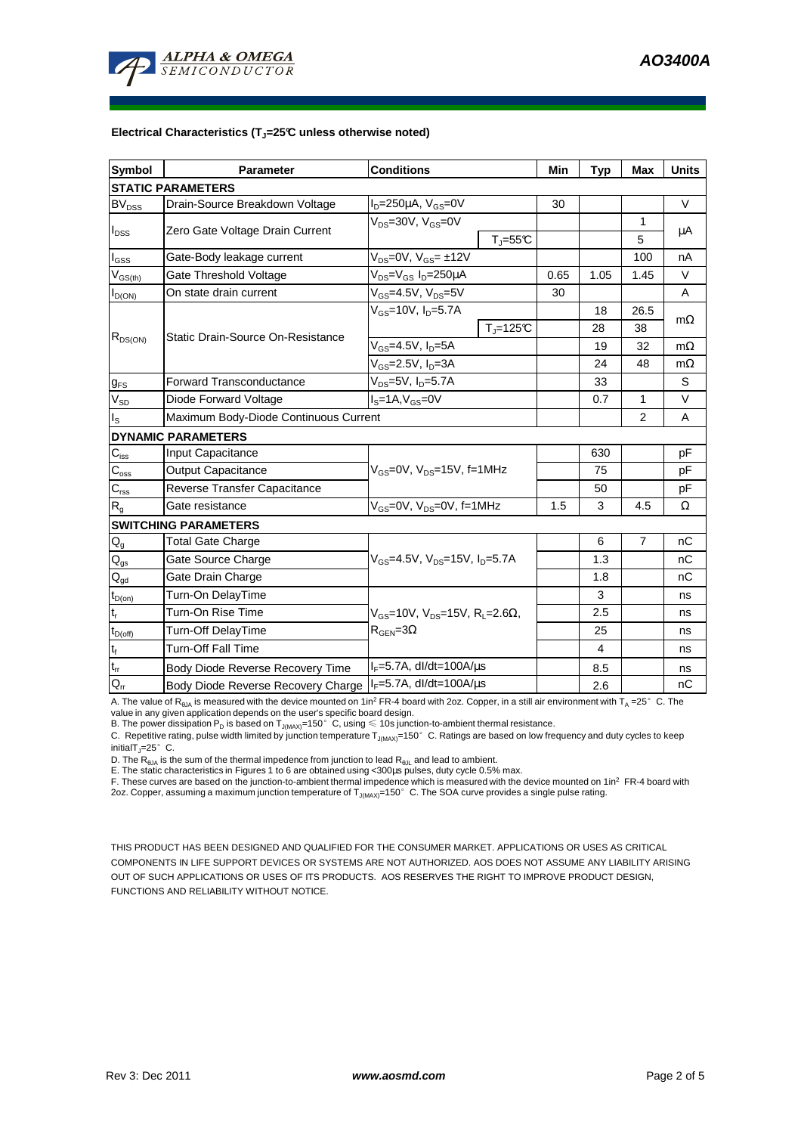

## **Electrical Characteristics (TJ=25°C unless otherwise noted)**

| <b>Symbol</b>                           | <b>Parameter</b>                                                         | <b>Conditions</b>                                                                 | Min                      | <b>Typ</b>     | Max          | <b>Units</b>   |           |  |  |  |  |  |
|-----------------------------------------|--------------------------------------------------------------------------|-----------------------------------------------------------------------------------|--------------------------|----------------|--------------|----------------|-----------|--|--|--|--|--|
| <b>STATIC PARAMETERS</b>                |                                                                          |                                                                                   |                          |                |              |                |           |  |  |  |  |  |
| <b>BV<sub>DSS</sub></b>                 | Drain-Source Breakdown Voltage                                           | $I_D = 250 \mu A$ , $V_{GS} = 0V$                                                 |                          | 30             |              |                | $\vee$    |  |  |  |  |  |
| $I_{\text{DSS}}$                        | Zero Gate Voltage Drain Current                                          | $V_{DS}$ =30V, $V_{GS}$ =0V                                                       |                          |                |              | 1              | μA        |  |  |  |  |  |
|                                         |                                                                          |                                                                                   | $T_{\parallel} = 55$ °C  |                |              | 5              |           |  |  |  |  |  |
| $I_{GSS}$                               | Gate-Body leakage current                                                | $V_{DS} = 0V$ , $V_{GS} = \pm 12V$                                                |                          |                |              | 100            | nA        |  |  |  |  |  |
| $\mathsf{V}_{\mathsf{GS}(\mathsf{th})}$ | Gate Threshold Voltage                                                   | V <sub>DS</sub> =V <sub>GS</sub> I <sub>D</sub> =250µA                            | 0.65                     | 1.05           | 1.45         | $\vee$         |           |  |  |  |  |  |
| $I_{D(ON)}$                             | On state drain current                                                   | $\rm V_{GS}$ =4.5V, V $\rm_{DS}$ =5V                                              |                          | 30             |              |                | A         |  |  |  |  |  |
| $R_{DS(ON)}$                            |                                                                          | $V_{GS}$ =10V, I <sub>D</sub> =5.7A                                               |                          |                | 18           | 26.5           |           |  |  |  |  |  |
|                                         | Static Drain-Source On-Resistance                                        |                                                                                   | $T_{\parallel} = 125$ °C |                | 28           | 38             | $m\Omega$ |  |  |  |  |  |
|                                         |                                                                          | $V_{GS}$ =4.5V, $I_D$ =5A                                                         |                          |                | 19           | 32             | $m\Omega$ |  |  |  |  |  |
|                                         |                                                                          | $V_{GS}$ =2.5V, $I_{D}$ =3A                                                       |                          | 24             | 48           | $m\Omega$      |           |  |  |  |  |  |
| $g_{FS}$                                | <b>Forward Transconductance</b>                                          | $V_{DS} = 5V$ , $I_D = 5.7A$                                                      |                          |                | 33           |                | S         |  |  |  |  |  |
| $V_{SD}$                                | Diode Forward Voltage                                                    | $IS=1A, VGS=0V$                                                                   |                          | 0.7            | $\mathbf{1}$ | V              |           |  |  |  |  |  |
| $I_{\rm S}$                             | Maximum Body-Diode Continuous Current                                    |                                                                                   |                          | 2              | A            |                |           |  |  |  |  |  |
|                                         | <b>DYNAMIC PARAMETERS</b>                                                |                                                                                   |                          |                |              |                |           |  |  |  |  |  |
| $C_{iss}$                               | Input Capacitance                                                        | $V_{GS}$ =0V, $V_{DS}$ =15V, f=1MHz                                               |                          |                | 630          |                | pF        |  |  |  |  |  |
| $\overline{C_{\rm oss}}$                | <b>Output Capacitance</b>                                                |                                                                                   |                          |                | 75           |                | pF        |  |  |  |  |  |
| $C_{\rm rss}$                           | Reverse Transfer Capacitance                                             |                                                                                   |                          |                | 50           |                | pF        |  |  |  |  |  |
| $R_{g}$                                 | Gate resistance                                                          | V <sub>GS</sub> =0V, V <sub>DS</sub> =0V, f=1MHz                                  |                          | 1.5            | 3            | 4.5            | Ω         |  |  |  |  |  |
|                                         | <b>SWITCHING PARAMETERS</b>                                              |                                                                                   |                          |                |              |                |           |  |  |  |  |  |
| $\mathsf{Q}_{\mathsf{g}}$               | <b>Total Gate Charge</b>                                                 | $V_{GS}$ =4.5V, $V_{DS}$ =15V, $I_{D}$ =5.7A                                      |                          |                | 6            | $\overline{7}$ | nC        |  |  |  |  |  |
| $\mathsf{Q}_{\mathsf{gs}}$              | Gate Source Charge                                                       |                                                                                   |                          |                | 1.3          |                | nC        |  |  |  |  |  |
| $Q_{qd}$                                | Gate Drain Charge                                                        |                                                                                   |                          |                | 1.8          |                | nC        |  |  |  |  |  |
| $t_{D(0n)}$                             | Turn-On DelayTime                                                        | $V_{GS}$ =10V, $V_{DS}$ =15V, R <sub>L</sub> =2.6Ω,<br>$R_{\text{GEN}} = 3\Omega$ |                          |                | 3            |                | ns        |  |  |  |  |  |
| $t_r$                                   | Turn-On Rise Time                                                        |                                                                                   |                          |                | 2.5          |                | ns        |  |  |  |  |  |
| $t_{D(off)}$                            | Turn-Off DelayTime                                                       |                                                                                   |                          |                | 25           |                | ns        |  |  |  |  |  |
| $\mathbf{t}_\text{f}$                   | <b>Turn-Off Fall Time</b>                                                |                                                                                   |                          | $\overline{4}$ |              | ns             |           |  |  |  |  |  |
| $t_{rr}$                                | Body Diode Reverse Recovery Time                                         | $I_F = 5.7A$ , dl/dt=100A/ $\mu$ s                                                |                          |                | 8.5          |                | ns        |  |  |  |  |  |
| $Q_{rr}$                                | $I_F = 5.7A$ , dl/dt=100A/ $\mu$ s<br>Body Diode Reverse Recovery Charge |                                                                                   |                          |                | 2.6          |                | nC        |  |  |  |  |  |

A. The value of  $R_{\thetaJA}$  is measured with the device mounted on 1in<sup>2</sup> FR-4 board with 2oz. Copper, in a still air environment with T<sub>A</sub> =25°C. The

value in any given application depends on the user's specific board design.<br>B. The power dissipation P<sub>D</sub> is based on T<sub>J(MAX)</sub>=150°C, using ≤ 10s junction-to-ambient thermal resistance.

C. Repetitive rating, pulse width limited by junction temperature  $T_{J(MAX)}$ =150°C. Ratings are based on low frequency and duty cycles to keep initialT $_{\text{I}}$ =25°C.

D. The  $R_{\theta JA}$  is the sum of the thermal impedence from junction to lead  $R_{\theta JL}$  and lead to ambient.

E. The static characteristics in Figures 1 to 6 are obtained using <300us pulses, duty cycle 0.5% max.

F. These curves are based on the junction-to-ambient thermal impedence which is measured with the device mounted on 1in<sup>2</sup> FR-4 board with 2oz. Copper, assuming a maximum junction temperature of  $T_{J(MAX)}$ =150°C. The SOA curve provides a single pulse rating.

THIS PRODUCT HAS BEEN DESIGNED AND QUALIFIED FOR THE CONSUMER MARKET. APPLICATIONS OR USES AS CRITICAL COMPONENTS IN LIFE SUPPORT DEVICES OR SYSTEMS ARE NOT AUTHORIZED. AOS DOES NOT ASSUME ANY LIABILITY ARISING OUT OF SUCH APPLICATIONS OR USES OF ITS PRODUCTS. AOS RESERVES THE RIGHT TO IMPROVE PRODUCT DESIGN, FUNCTIONS AND RELIABILITY WITHOUT NOTICE.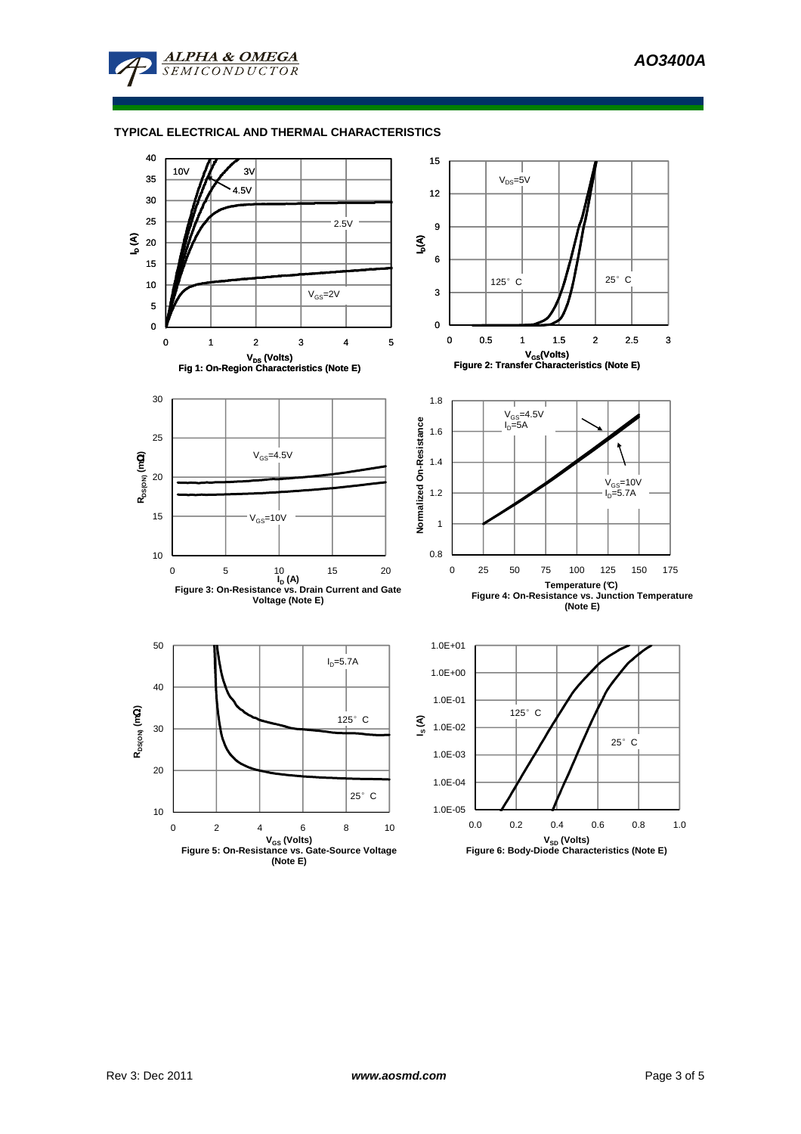

**ALPHA & OMEGA SEMICONDUCTOR** 

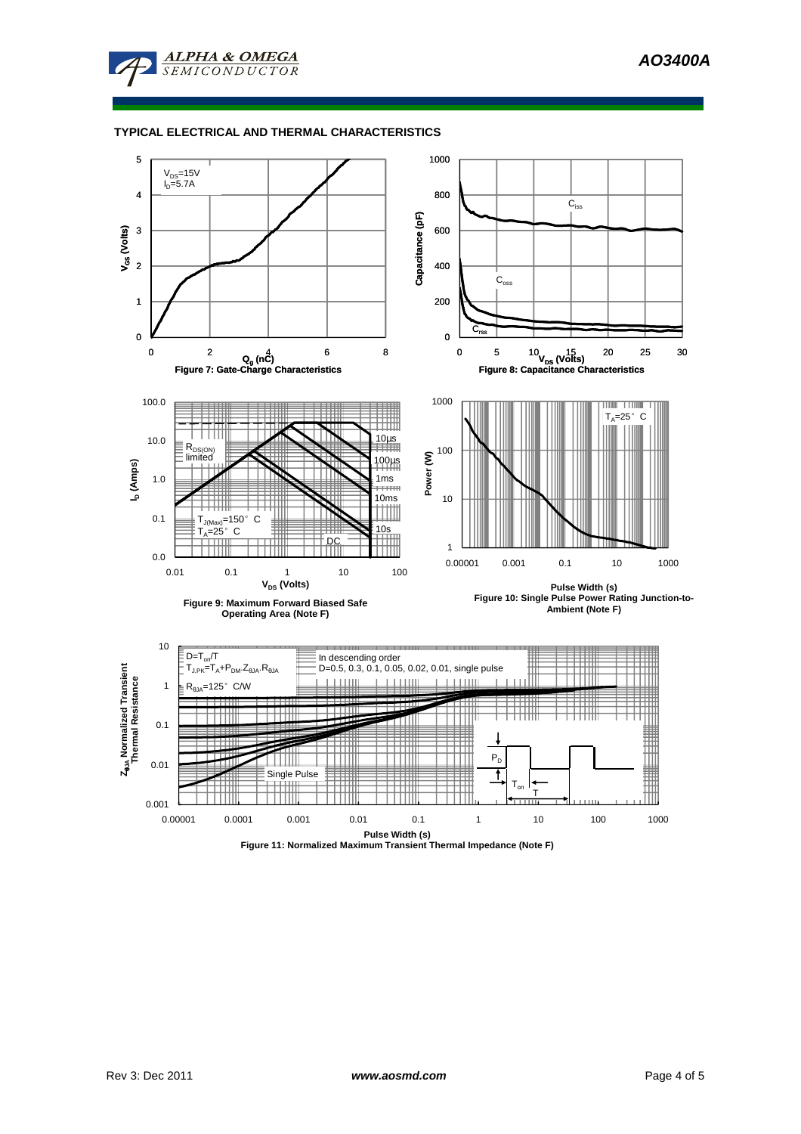

## **TYPICAL ELECTRICAL AND THERMAL CHARACTERISTICS**